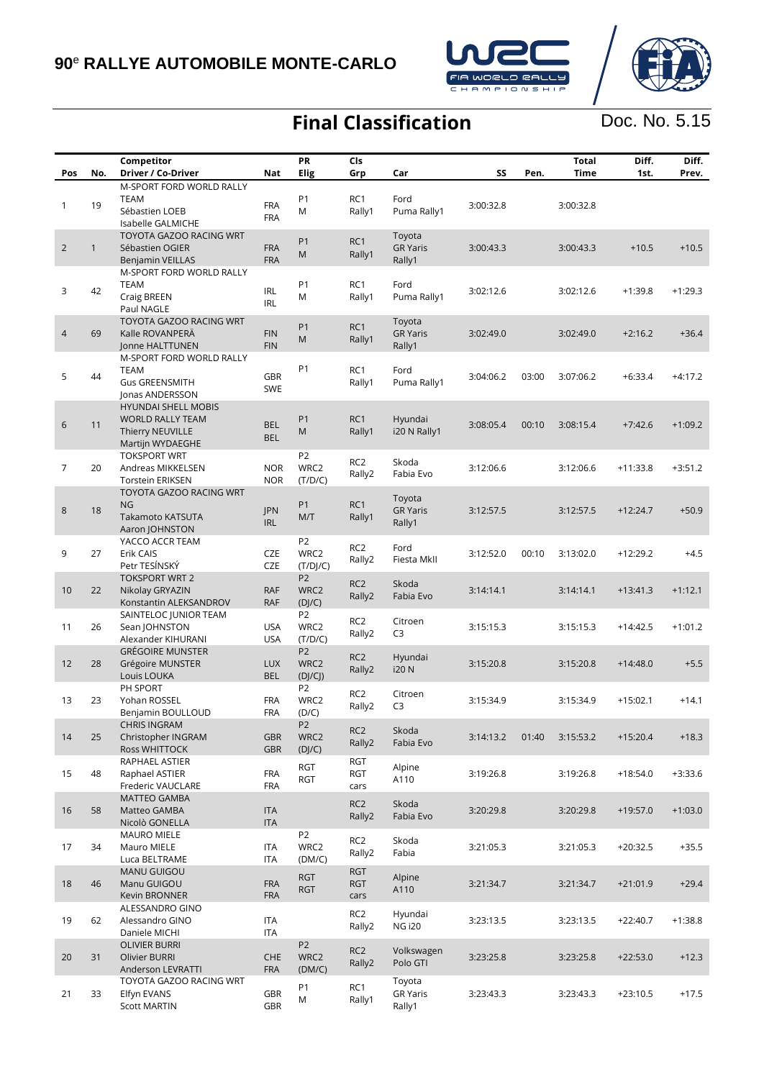

## **Final Classification**

Doc. No. 5.15

| Pos            | No.          | Competitor<br>Driver / Co-Driver                                                              | <b>Nat</b>               | PR<br>Elig                         | Cls<br>Grp                       | Car                                 | SS        | Pen.  | <b>Total</b><br>Time | Diff.<br>1st. | Diff.<br>Prev. |
|----------------|--------------|-----------------------------------------------------------------------------------------------|--------------------------|------------------------------------|----------------------------------|-------------------------------------|-----------|-------|----------------------|---------------|----------------|
|                |              | M-SPORT FORD WORLD RALLY                                                                      |                          |                                    |                                  |                                     |           |       |                      |               |                |
| 1              | 19           | <b>TEAM</b><br>Sébastien LOEB<br>Isabelle GALMICHE                                            | <b>FRA</b><br><b>FRA</b> | P <sub>1</sub><br>M                | RC1<br>Rally1                    | Ford<br>Puma Rally1                 | 3:00:32.8 |       | 3:00:32.8            |               |                |
| $\overline{2}$ | $\mathbf{1}$ | TOYOTA GAZOO RACING WRT<br>Sébastien OGIER<br>Benjamin VEILLAS                                | <b>FRA</b><br><b>FRA</b> | P <sub>1</sub><br>M                | RC1<br>Rally1                    | Toyota<br><b>GR Yaris</b><br>Rally1 | 3:00:43.3 |       | 3:00:43.3            | $+10.5$       | $+10.5$        |
| 3              | 42           | M-SPORT FORD WORLD RALLY<br><b>TEAM</b><br>Craig BREEN<br>Paul NAGLE                          | <b>IRL</b><br><b>IRL</b> | P <sub>1</sub><br>M                | RC1<br>Rally1                    | Ford<br>Puma Rally1                 | 3:02:12.6 |       | 3:02:12.6            | $+1:39.8$     | $+1:29.3$      |
| $\overline{4}$ | 69           | TOYOTA GAZOO RACING WRT<br>Kalle ROVANPERÄ<br>Jonne HALTTUNEN                                 | <b>FIN</b><br><b>FIN</b> | P1<br>M                            | RC1<br>Rally1                    | Toyota<br><b>GR</b> Yaris<br>Rally1 | 3:02:49.0 |       | 3:02:49.0            | $+2:16.2$     | $+36.4$        |
| 5              | 44           | M-SPORT FORD WORLD RALLY<br><b>TEAM</b><br><b>Gus GREENSMITH</b><br>Jonas ANDERSSON           | <b>GBR</b><br>SWE        | P <sub>1</sub>                     | RC1<br>Rally1                    | Ford<br>Puma Rally1                 | 3:04:06.2 | 03:00 | 3:07:06.2            | $+6:33.4$     | $+4:17.2$      |
| $\sqrt{6}$     | 11           | <b>HYUNDAI SHELL MOBIS</b><br><b>WORLD RALLY TEAM</b><br>Thierry NEUVILLE<br>Martijn WYDAEGHE | <b>BEL</b><br><b>BEL</b> | P <sub>1</sub><br>M                | RC1<br>Rally1                    | Hyundai<br>i20 N Rally1             | 3:08:05.4 | 00:10 | 3:08:15.4            | $+7:42.6$     | $+1:09.2$      |
| $\overline{7}$ | 20           | <b>TOKSPORT WRT</b><br>Andreas MIKKELSEN<br><b>Torstein ERIKSEN</b>                           | <b>NOR</b><br><b>NOR</b> | P <sub>2</sub><br>WRC2<br>(T/D/C)  | RC <sub>2</sub><br>Rally2        | Skoda<br>Fabia Evo                  | 3:12:06.6 |       | 3:12:06.6            | $+11:33.8$    | $+3:51.2$      |
| $\,8\,$        | 18           | TOYOTA GAZOO RACING WRT<br>NG.<br>Takamoto KATSUTA<br>Aaron JOHNSTON                          | JPN<br><b>IRL</b>        | P <sub>1</sub><br>M/T              | RC1<br>Rally1                    | Toyota<br><b>GR Yaris</b><br>Rally1 | 3:12:57.5 |       | 3:12:57.5            | $+12:24.7$    | $+50.9$        |
| 9              | 27           | YACCO ACCR TEAM<br>Erik CAIS<br>Petr TESÍNSKÝ                                                 | CZE<br><b>CZE</b>        | P <sub>2</sub><br>WRC2<br>(T/D]/C) | RC <sub>2</sub><br>Rally2        | Ford<br>Fiesta MkII                 | 3:12:52.0 | 00:10 | 3:13:02.0            | $+12:29.2$    | $+4.5$         |
| 10             | 22           | <b>TOKSPORT WRT 2</b><br>Nikolay GRYAZIN<br>Konstantin ALEKSANDROV                            | <b>RAF</b><br><b>RAF</b> | P <sub>2</sub><br>WRC2<br>(D]/C)   | RC <sub>2</sub><br>Rally2        | Skoda<br>Fabia Evo                  | 3:14:14.1 |       | 3:14:14.1            | $+13:41.3$    | $+1:12.1$      |
| 11             | 26           | SAINTELOC JUNIOR TEAM<br>Sean JOHNSTON<br>Alexander KIHURANI                                  | <b>USA</b><br><b>USA</b> | P <sub>2</sub><br>WRC2<br>(T/D/C)  | RC <sub>2</sub><br>Rally2        | Citroen<br>C <sub>3</sub>           | 3:15:15.3 |       | 3:15:15.3            | $+14:42.5$    | $+1:01.2$      |
| 12             | 28           | <b>GRÉGOIRE MUNSTER</b><br>Grégoire MUNSTER<br>Louis LOUKA                                    | <b>LUX</b><br><b>BEL</b> | P <sub>2</sub><br>WRC2<br>(DJ/CJ)  | RC <sub>2</sub><br>Rally2        | Hyundai<br>i20 N                    | 3:15:20.8 |       | 3:15:20.8            | $+14:48.0$    | $+5.5$         |
| 13             | 23           | PH SPORT<br>Yohan ROSSEL<br>Benjamin BOULLOUD                                                 | <b>FRA</b><br><b>FRA</b> | P <sub>2</sub><br>WRC2<br>(D/C)    | RC <sub>2</sub><br>Rally2        | Citroen<br>C <sub>3</sub>           | 3:15:34.9 |       | 3:15:34.9            | $+15:02.1$    | $+14.1$        |
| 14             | 25           | <b>CHRIS INGRAM</b><br>Christopher INGRAM<br>Ross WHITTOCK                                    | <b>GBR</b><br><b>GBR</b> | P <sub>2</sub><br>WRC2<br>(DJ/C)   | RC2<br>Rally2                    | Skoda<br>Fabia Evo                  | 3:14:13.2 | 01:40 | 3:15:53.2            | $+15:20.4$    | $+18.3$        |
| 15             | 48           | RAPHAEL ASTIER<br>Raphael ASTIER<br>Frederic VAUCLARE                                         | <b>FRA</b><br><b>FRA</b> | RGT<br>RGT                         | RGT<br>RGT<br>cars               | Alpine<br>A110                      | 3:19:26.8 |       | 3:19:26.8            | $+18:54.0$    | $+3:33.6$      |
| 16             | 58           | MATTEO GAMBA<br>Matteo GAMBA<br>Nicolò GONELLA                                                | <b>ITA</b><br><b>ITA</b> |                                    | RC <sub>2</sub><br>Rally2        | Skoda<br>Fabia Evo                  | 3:20:29.8 |       | 3:20:29.8            | $+19:57.0$    | $+1:03.0$      |
| 17             | 34           | <b>MAURO MIELE</b><br>Mauro MIELE<br>Luca BELTRAME                                            | ITA<br>ITA               | P <sub>2</sub><br>WRC2<br>(DM/C)   | RC2<br>Rally2                    | Skoda<br>Fabia                      | 3:21:05.3 |       | 3:21:05.3            | $+20:32.5$    | $+35.5$        |
| 18             | 46           | <b>MANU GUIGOU</b><br>Manu GUIGOU<br>Kevin BRONNER                                            | <b>FRA</b><br><b>FRA</b> | <b>RGT</b><br><b>RGT</b>           | <b>RGT</b><br><b>RGT</b><br>cars | Alpine<br>A110                      | 3:21:34.7 |       | 3:21:34.7            | $+21:01.9$    | $+29.4$        |
| 19             | 62           | ALESSANDRO GINO<br>Alessandro GINO<br>Daniele MICHI                                           | ITA<br>ITA               |                                    | RC2<br>Rally2                    | Hyundai<br><b>NG i20</b>            | 3:23:13.5 |       | 3:23:13.5            | $+22:40.7$    | $+1:38.8$      |
| 20             | 31           | <b>OLIVIER BURRI</b><br>Olivier BURRI<br>Anderson LEVRATTI                                    | <b>CHE</b><br><b>FRA</b> | P <sub>2</sub><br>WRC2<br>(DM/C)   | RC <sub>2</sub><br>Rally2        | Volkswagen<br>Polo GTI              | 3:23:25.8 |       | 3:23:25.8            | $+22:53.0$    | $+12.3$        |
| 21             | 33           | TOYOTA GAZOO RACING WRT<br>Elfyn EVANS<br><b>Scott MARTIN</b>                                 | GBR<br><b>GBR</b>        | P <sub>1</sub><br>M                | RC1<br>Rally1                    | Toyota<br><b>GR Yaris</b><br>Rally1 | 3:23:43.3 |       | 3:23:43.3            | $+23:10.5$    | $+17.5$        |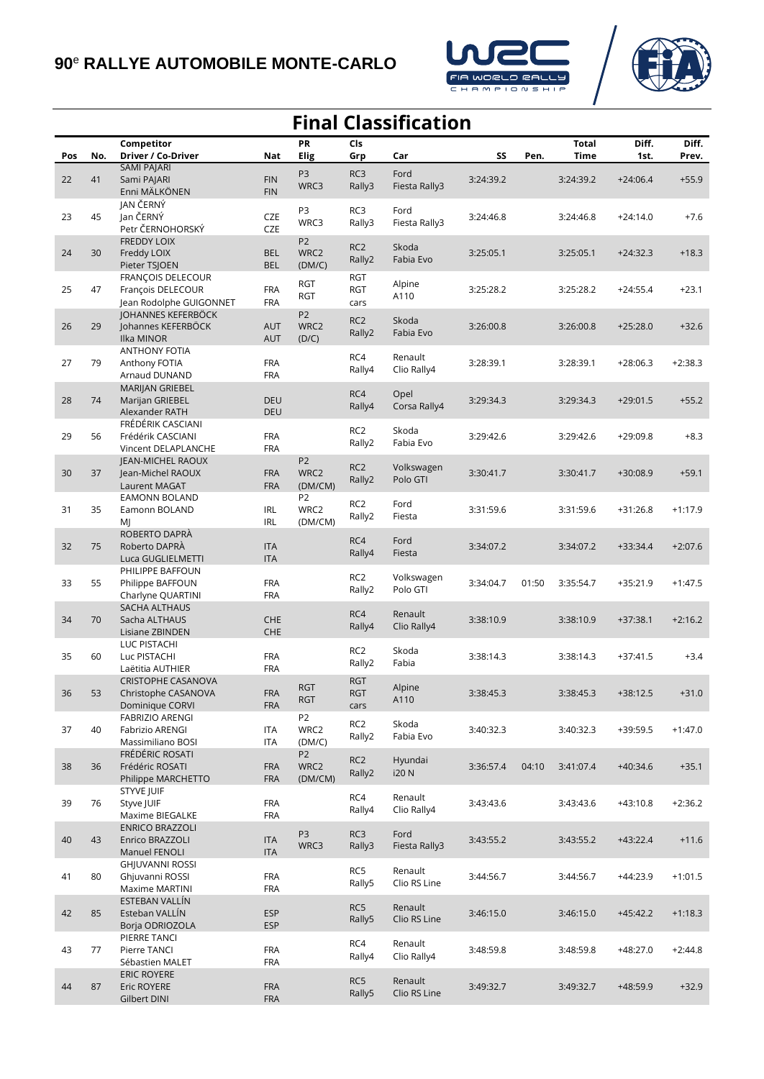



## **Final Classification Pos No. Competitor Driver / Co-Driver Nat PR Elig Cls Grp Car SS Pen. Total Time Diff. 1st. Diff. Prev.** 22 41 SAMI PAJARI Sami PAJARI Enni MÄLKÖNEN FIN FIN P3 WRC3 RC3 Rally3 Ford Fiesta Rally3 3:24:39.2 3:24:39.2 +24:06.4 +55.9 23 45 JAN ČERNÝ Jan ČERNÝ Petr ČERNOHORSKÝ **CZE CZE** P3 WRC3 RC3 Rally3 Ford Fiesta Rally3 3:24:46.8 3:24:46.8 +24:14.0 +7.6 24 30 FREDDY LOIX Freddy LOIX Pieter TSJOEN **BEL** BEL P2 W<sub>RC2</sub> (DM/C) RC2 Rally2 Skoda Fabia Evo 3:25:05.1 3:25:05.1 +24:32.3 +18.3 25 47 FRANÇOIS DELECOUR François DELECOUR Jean Rodolphe GUIGONNET FRA FRA RGT RGT RGT RGT cars Alpine A110 3:25:28.2 3:25:28.2 +24:55.4 +23.1 26 29 JOHANNES KEFERBÖCK Johannes KEFERBÖCK Ilka MINOR AUT AUT P2 WRC2 (D/C) RC2 Rally2 Skoda Fabia Evo 3:26:00.8 3:26:00.8 +25:28.0 +32.6 27 79 ANTHONY FOTIA Anthony FOTIA Arnaud DUNAND FRA FRA RC4 Rally4 Renault Clio Rally4 3:28:39.1 3:28:39.1 +28:06.3 +2:38.3 28 74 MARIJAN GRIEBEL Marijan GRIEBEL Alexander RATH DEU DEU RC4 Rally4 Opel Corsa Rally4 3:29:34.3 3:29:34.3 +29:01.5 +55.2 29 56 FRÉDÉRIK CASCIANI Frédérik CASCIANI Vincent DELAPLANCHE FRA FRA RC2 Rally2 Skoda Fabia Evo 3:29:42.6 3:29:42.6 +29:09.8 +8.3 30 37 JEAN-MICHEL RAOUX Jean-Michel RAOUX Laurent MAGAT FRA FRA P2 W<sub>RC2</sub> (DM/CM) RC2 Rally2 Volkswagen Polo GTI 3:30:41.7 3:30:41.7 +30:08.9 +59.1 31 35 EAMONN BOLAND Eamonn BOLAND MJ IRL IRL P2 WRC2 (DM/CM) RC2 Rally2 Ford Fiesta 3:31:59.6 3:31:59.6 +31:26.8 +1:17.9 32 75 ROBERTO DAPRÀ Roberto DAPRÀ Luca GUGLIELMETTI ITA ITA RC4 Rally4 Ford Fiesta 3:34:07.2 3:34:07.2 +33:34.4 +2:07.6 33 55 PHILIPPE BAFFOUN Philippe BAFFOUN Charlyne QUARTINI FRA FRA RC2 Rally2 Volkswagen Polo GTI 3:34:04.7 01:50 3:35:54.7 +35:21.9 +1:47.5 34 70 SACHA ALTHAUS Sacha ALTHAUS Lisiane ZBINDEN **CHF** CHE RC4 Rally4 Renault Clio Rally4 3:38:10.9 3:38:10.9 +37:38.1 +2:16.2 35 60 LUC PISTACHI Luc PISTACHI Laëtitia AUTHIER FRA FRA RC2 Rally2 Skoda Fabia 3:38:14.3 3:38:14.3 +37:41.5 +3.4 36 53 CRISTOPHE CASANOVA Christophe CASANOVA Dominique CORVI FRA FRA RGT RGT RGT RGT cars Alpine A110 3:38:45.3 3:38:45.3 +38:12.5 +31.0 37 40 FABRIZIO ARENGI Fabrizio ARENGI Massimiliano BOSI ITA ITA P2 WRC2 (DM/C) RC2 Rally2 Skoda Fabia Evo 3:40:32.3 3:40:32.3 +39:59.5 +1:47.0 38 36 FRÉDÉRIC ROSATI Frédéric ROSATI Philippe MARCHETTO FRA FRA P2 WRC2 (DM/CM) RC2 Rally2 Hyundai i20 N 3:36:57.4 04:10 3:41:07.4 +40:34.6 +35.1 39 76 STYVE JUIF Styve JUIF Maxime BIEGALKE FRA FRA RC4 Rally4 Renault Clio Rally4 3:43:43.6 3:43:43.6 +43:10.8 +2:36.2 40 43 ENRICO BRAZZOLI Enrico BRAZZOLI Manuel FENOLI ITA ITA P3 WRC3 RC3 Rally3 Ford Fiesta Rally3 3:43:55.2 3:43:55.2 +43:22.4 +11.6 41 80 GHJUVANNI ROSSI Ghjuvanni ROSSI Maxime MARTINI FRA FRA RC5 Rally5 Renault Clio RS Line 3:44:56.7 3:44:56.7 +44:23.9 +1:01.5 42 85 ESTEBAN VALLÍN Esteban VALLÍN Borja ODRIOZOLA ESP ESP RC5 Rally5 Renault Clio RS Line 3:46:15.0 3:46:15.0 +45:42.2 +1:18.3 43 77 PIERRE TANCI Pierre TANCI Sébastien MALET FRA FRA RC4 Rally4 Renault Clio Rally4 3:48:59.8 3:48:59.8 +48:27.0 +2:44.8 44 87 ERIC ROYERE Eric ROYERE Gilbert DINI FRA FRA RC5 Rally5 Renault Clio RS Line 3:49:32.7 3:49:32.7 +48:59.9 +32.9